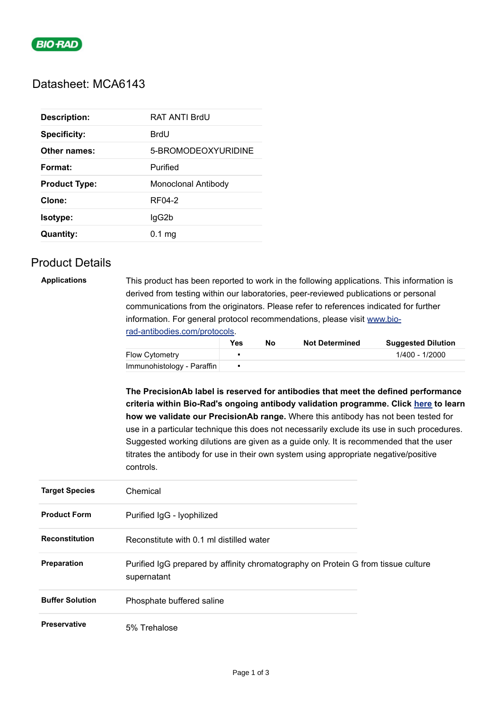

### Datasheet: MCA6143

| <b>Description:</b>  | RAT ANTI BrdU       |
|----------------------|---------------------|
| <b>Specificity:</b>  | BrdU                |
| Other names:         | 5-BROMODEOXYURIDINE |
| Format:              | Purified            |
| <b>Product Type:</b> | Monoclonal Antibody |
| Clone:               | RF04-2              |
| Isotype:             | lgG2b               |
| <b>Quantity:</b>     | $0.1$ mg            |

## Product Details

**Applications** This product has been reported to work in the following applications. This information is derived from testing within our laboratories, peer-reviewed publications or personal communications from the originators. Please refer to references indicated for further information. For general protocol recommendations, please visit [www.bio](https://www.bio-rad-antibodies.com/protocols)rad-antibodies.com/protocols.

|                            | <b>Yes</b> | No | <b>Not Determined</b> | <b>Suggested Dilution</b> |
|----------------------------|------------|----|-----------------------|---------------------------|
| <b>Flow Cytometry</b>      |            |    |                       | 1/400 - 1/2000            |
| Immunohistology - Paraffin |            |    |                       |                           |

**The PrecisionAb label is reserved for antibodies that meet the defined performance criteria within Bio-Rad's ongoing antibody validation programme. Click [here](https://www.bio-rad-antibodies.com/precisionAb-antibodies-enhanced-validation-for-western-blotting.html) to learn how we validate our PrecisionAb range.** Where this antibody has not been tested for use in a particular technique this does not necessarily exclude its use in such procedures. Suggested working dilutions are given as a guide only. It is recommended that the user titrates the antibody for use in their own system using appropriate negative/positive controls.

| <b>Target Species</b>  | Chemical                                                                                         |  |
|------------------------|--------------------------------------------------------------------------------------------------|--|
| <b>Product Form</b>    | Purified IgG - Iyophilized                                                                       |  |
| <b>Reconstitution</b>  | Reconstitute with 0.1 ml distilled water                                                         |  |
| <b>Preparation</b>     | Purified IgG prepared by affinity chromatography on Protein G from tissue culture<br>supernatant |  |
| <b>Buffer Solution</b> | Phosphate buffered saline                                                                        |  |
| <b>Preservative</b>    | 5% Trehalose                                                                                     |  |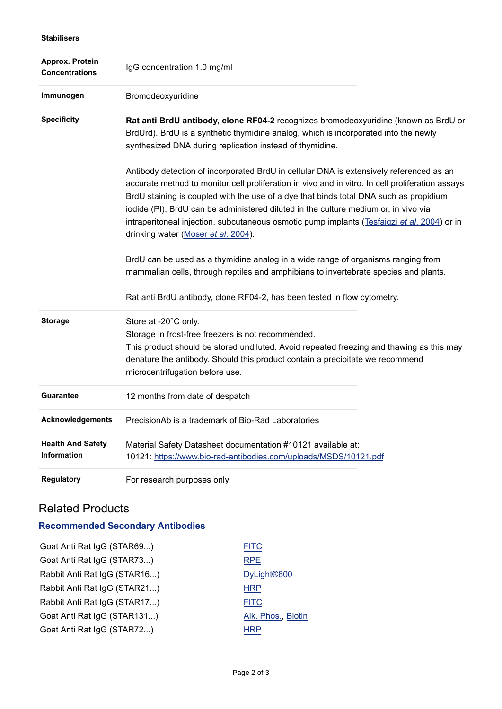| Approx. Protein<br><b>Concentrations</b>       | IgG concentration 1.0 mg/ml                                                                                                                                                                                                                                                                                                                                                                                                                                                                                       |
|------------------------------------------------|-------------------------------------------------------------------------------------------------------------------------------------------------------------------------------------------------------------------------------------------------------------------------------------------------------------------------------------------------------------------------------------------------------------------------------------------------------------------------------------------------------------------|
| Immunogen                                      | Bromodeoxyuridine                                                                                                                                                                                                                                                                                                                                                                                                                                                                                                 |
| <b>Specificity</b>                             | Rat anti BrdU antibody, clone RF04-2 recognizes bromodeoxyuridine (known as BrdU or<br>BrdUrd). BrdU is a synthetic thymidine analog, which is incorporated into the newly<br>synthesized DNA during replication instead of thymidine.                                                                                                                                                                                                                                                                            |
|                                                | Antibody detection of incorporated BrdU in cellular DNA is extensively referenced as an<br>accurate method to monitor cell proliferation in vivo and in vitro. In cell proliferation assays<br>BrdU staining is coupled with the use of a dye that binds total DNA such as propidium<br>iodide (PI). BrdU can be administered diluted in the culture medium or, in vivo via<br>intraperitoneal injection, subcutaneous osmotic pump implants (Tesfaigzi et al. 2004) or in<br>drinking water (Moser et al. 2004). |
|                                                | BrdU can be used as a thymidine analog in a wide range of organisms ranging from<br>mammalian cells, through reptiles and amphibians to invertebrate species and plants.                                                                                                                                                                                                                                                                                                                                          |
|                                                | Rat anti BrdU antibody, clone RF04-2, has been tested in flow cytometry.                                                                                                                                                                                                                                                                                                                                                                                                                                          |
| <b>Storage</b>                                 | Store at -20°C only.<br>Storage in frost-free freezers is not recommended.<br>This product should be stored undiluted. Avoid repeated freezing and thawing as this may<br>denature the antibody. Should this product contain a precipitate we recommend<br>microcentrifugation before use.                                                                                                                                                                                                                        |
| <b>Guarantee</b>                               | 12 months from date of despatch                                                                                                                                                                                                                                                                                                                                                                                                                                                                                   |
| <b>Acknowledgements</b>                        | PrecisionAb is a trademark of Bio-Rad Laboratories                                                                                                                                                                                                                                                                                                                                                                                                                                                                |
| <b>Health And Safety</b><br><b>Information</b> | Material Safety Datasheet documentation #10121 available at:<br>10121: https://www.bio-rad-antibodies.com/uploads/MSDS/10121.pdf                                                                                                                                                                                                                                                                                                                                                                                  |
| <b>Regulatory</b>                              | For research purposes only                                                                                                                                                                                                                                                                                                                                                                                                                                                                                        |

## Related Products

**Stabilisers**

# **Recommended Secondary Antibodies**

| <b>FITC</b>             |
|-------------------------|
| <b>RPE</b>              |
| DyLight <sup>®800</sup> |
| <b>HRP</b>              |
| <b>FITC</b>             |
| Alk. Phos., Biotin      |
| <b>HRP</b>              |
|                         |